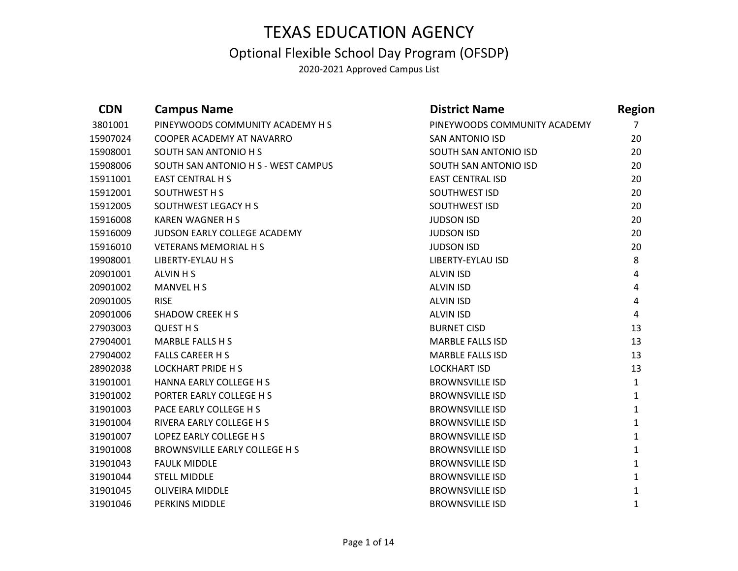### Optional Flexible School Day Program (OFSDP)

| <b>CDN</b> | <b>Campus Name</b>                   | <b>District Name</b>         | <b>Region</b>  |
|------------|--------------------------------------|------------------------------|----------------|
| 3801001    | PINEYWOODS COMMUNITY ACADEMY H S     | PINEYWOODS COMMUNITY ACADEMY | $\overline{7}$ |
| 15907024   | COOPER ACADEMY AT NAVARRO            | <b>SAN ANTONIO ISD</b>       | 20             |
| 15908001   | SOUTH SAN ANTONIO H S                | SOUTH SAN ANTONIO ISD        | 20             |
| 15908006   | SOUTH SAN ANTONIO H S - WEST CAMPUS  | SOUTH SAN ANTONIO ISD        | 20             |
| 15911001   | <b>EAST CENTRAL H S</b>              | <b>EAST CENTRAL ISD</b>      | 20             |
| 15912001   | SOUTHWEST H S                        | SOUTHWEST ISD                | 20             |
| 15912005   | SOUTHWEST LEGACY H S                 | SOUTHWEST ISD                | 20             |
| 15916008   | <b>KAREN WAGNER H S</b>              | <b>JUDSON ISD</b>            | 20             |
| 15916009   | JUDSON EARLY COLLEGE ACADEMY         | <b>JUDSON ISD</b>            | 20             |
| 15916010   | <b>VETERANS MEMORIAL H S</b>         | <b>JUDSON ISD</b>            | 20             |
| 19908001   | LIBERTY-EYLAU H S                    | LIBERTY-EYLAU ISD            | 8              |
| 20901001   | ALVIN H S                            | <b>ALVIN ISD</b>             | 4              |
| 20901002   | <b>MANVEL H S</b>                    | <b>ALVIN ISD</b>             | 4              |
| 20901005   | <b>RISE</b>                          | <b>ALVIN ISD</b>             | 4              |
| 20901006   | <b>SHADOW CREEK H S</b>              | <b>ALVIN ISD</b>             | 4              |
| 27903003   | <b>QUEST H S</b>                     | <b>BURNET CISD</b>           | 13             |
| 27904001   | <b>MARBLE FALLS H S</b>              | <b>MARBLE FALLS ISD</b>      | 13             |
| 27904002   | <b>FALLS CAREER H S</b>              | <b>MARBLE FALLS ISD</b>      | 13             |
| 28902038   | <b>LOCKHART PRIDE H S</b>            | <b>LOCKHART ISD</b>          | 13             |
| 31901001   | HANNA EARLY COLLEGE H S              | <b>BROWNSVILLE ISD</b>       | $\mathbf{1}$   |
| 31901002   | PORTER EARLY COLLEGE H S             | <b>BROWNSVILLE ISD</b>       | $\mathbf{1}$   |
| 31901003   | PACE EARLY COLLEGE H S               | <b>BROWNSVILLE ISD</b>       | $\mathbf{1}$   |
| 31901004   | RIVERA EARLY COLLEGE H S             | <b>BROWNSVILLE ISD</b>       | $\mathbf{1}$   |
| 31901007   | LOPEZ EARLY COLLEGE H S              | <b>BROWNSVILLE ISD</b>       | $\mathbf{1}$   |
| 31901008   | <b>BROWNSVILLE EARLY COLLEGE H S</b> | <b>BROWNSVILLE ISD</b>       | $\mathbf{1}$   |
| 31901043   | <b>FAULK MIDDLE</b>                  | <b>BROWNSVILLE ISD</b>       | $\mathbf{1}$   |
| 31901044   | <b>STELL MIDDLE</b>                  | <b>BROWNSVILLE ISD</b>       | $\mathbf{1}$   |
| 31901045   | <b>OLIVEIRA MIDDLE</b>               | <b>BROWNSVILLE ISD</b>       | 1              |
| 31901046   | PERKINS MIDDLE                       | <b>BROWNSVILLE ISD</b>       | 1              |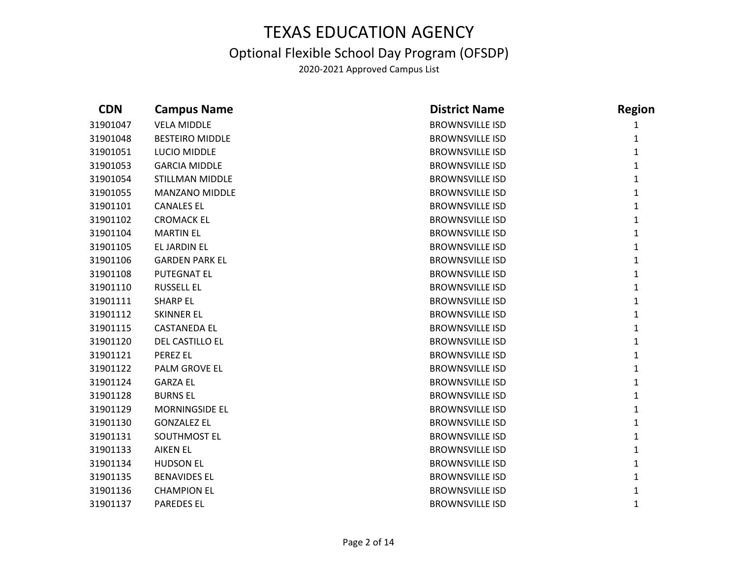### Optional Flexible School Day Program (OFSDP)

| <b>CDN</b> | <b>Campus Name</b>     | <b>District Name</b>   | <b>Region</b> |
|------------|------------------------|------------------------|---------------|
| 31901047   | <b>VELA MIDDLE</b>     | <b>BROWNSVILLE ISD</b> | 1             |
| 31901048   | <b>BESTEIRO MIDDLE</b> | <b>BROWNSVILLE ISD</b> | 1             |
| 31901051   | LUCIO MIDDLE           | <b>BROWNSVILLE ISD</b> | $\mathbf{1}$  |
| 31901053   | <b>GARCIA MIDDLE</b>   | <b>BROWNSVILLE ISD</b> | $\mathbf{1}$  |
| 31901054   | STILLMAN MIDDLE        | <b>BROWNSVILLE ISD</b> | $\mathbf{1}$  |
| 31901055   | MANZANO MIDDLE         | <b>BROWNSVILLE ISD</b> | $\mathbf{1}$  |
| 31901101   | <b>CANALES EL</b>      | <b>BROWNSVILLE ISD</b> | $\mathbf{1}$  |
| 31901102   | <b>CROMACK EL</b>      | <b>BROWNSVILLE ISD</b> | $\mathbf{1}$  |
| 31901104   | <b>MARTIN EL</b>       | <b>BROWNSVILLE ISD</b> | $\mathbf{1}$  |
| 31901105   | EL JARDIN EL           | <b>BROWNSVILLE ISD</b> | $\mathbf{1}$  |
| 31901106   | <b>GARDEN PARK EL</b>  | <b>BROWNSVILLE ISD</b> | $\mathbf{1}$  |
| 31901108   | <b>PUTEGNAT EL</b>     | <b>BROWNSVILLE ISD</b> | $\mathbf{1}$  |
| 31901110   | <b>RUSSELL EL</b>      | <b>BROWNSVILLE ISD</b> | $\mathbf{1}$  |
| 31901111   | <b>SHARP EL</b>        | <b>BROWNSVILLE ISD</b> | $\mathbf{1}$  |
| 31901112   | <b>SKINNER EL</b>      | <b>BROWNSVILLE ISD</b> | $\mathbf{1}$  |
| 31901115   | <b>CASTANEDA EL</b>    | <b>BROWNSVILLE ISD</b> | $\mathbf{1}$  |
| 31901120   | DEL CASTILLO EL        | <b>BROWNSVILLE ISD</b> | $\mathbf{1}$  |
| 31901121   | PEREZ EL               | <b>BROWNSVILLE ISD</b> | $\mathbf{1}$  |
| 31901122   | PALM GROVE EL          | <b>BROWNSVILLE ISD</b> | $\mathbf{1}$  |
| 31901124   | <b>GARZA EL</b>        | <b>BROWNSVILLE ISD</b> | $\mathbf{1}$  |
| 31901128   | <b>BURNS EL</b>        | <b>BROWNSVILLE ISD</b> | $\mathbf{1}$  |
| 31901129   | <b>MORNINGSIDE EL</b>  | <b>BROWNSVILLE ISD</b> | $\mathbf{1}$  |
| 31901130   | <b>GONZALEZ EL</b>     | <b>BROWNSVILLE ISD</b> | $\mathbf{1}$  |
| 31901131   | SOUTHMOST EL           | <b>BROWNSVILLE ISD</b> | $\mathbf{1}$  |
| 31901133   | <b>AIKEN EL</b>        | <b>BROWNSVILLE ISD</b> | $\mathbf{1}$  |
| 31901134   | <b>HUDSON EL</b>       | <b>BROWNSVILLE ISD</b> | $\mathbf{1}$  |
| 31901135   | <b>BENAVIDES EL</b>    | <b>BROWNSVILLE ISD</b> | 1             |
| 31901136   | <b>CHAMPION EL</b>     | <b>BROWNSVILLE ISD</b> | 1             |
| 31901137   | <b>PAREDES EL</b>      | <b>BROWNSVILLE ISD</b> | $\mathbf{1}$  |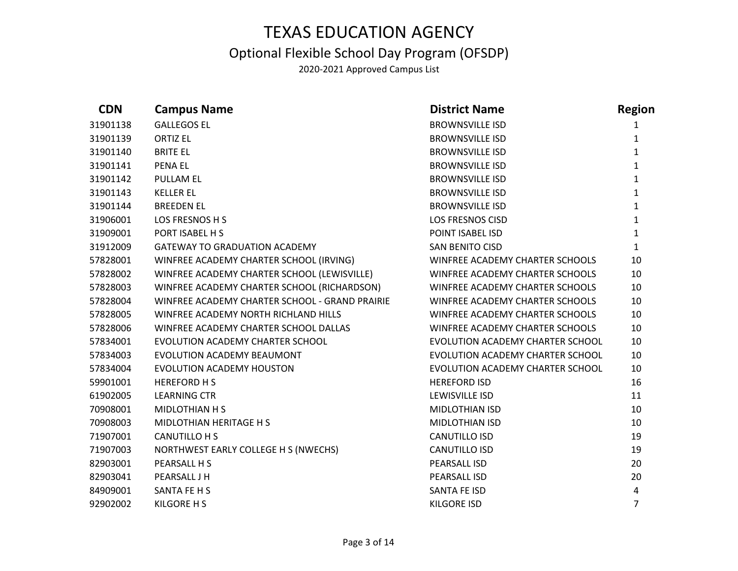### Optional Flexible School Day Program (OFSDP)

| <b>CDN</b> | <b>Campus Name</b>                             | <b>District Name</b>             | <b>Region</b>  |
|------------|------------------------------------------------|----------------------------------|----------------|
| 31901138   | <b>GALLEGOS EL</b>                             | <b>BROWNSVILLE ISD</b>           | 1              |
| 31901139   | <b>ORTIZ EL</b>                                | <b>BROWNSVILLE ISD</b>           | 1              |
| 31901140   | <b>BRITE EL</b>                                | <b>BROWNSVILLE ISD</b>           | $\mathbf{1}$   |
| 31901141   | <b>PENA EL</b>                                 | <b>BROWNSVILLE ISD</b>           | $\mathbf{1}$   |
| 31901142   | <b>PULLAM EL</b>                               | <b>BROWNSVILLE ISD</b>           | $\mathbf{1}$   |
| 31901143   | <b>KELLER EL</b>                               | <b>BROWNSVILLE ISD</b>           | $\mathbf{1}$   |
| 31901144   | <b>BREEDEN EL</b>                              | <b>BROWNSVILLE ISD</b>           | $\mathbf{1}$   |
| 31906001   | LOS FRESNOS H S                                | <b>LOS FRESNOS CISD</b>          | $\mathbf{1}$   |
| 31909001   | PORT ISABEL H S                                | POINT ISABEL ISD                 | $\mathbf{1}$   |
| 31912009   | <b>GATEWAY TO GRADUATION ACADEMY</b>           | <b>SAN BENITO CISD</b>           | $\mathbf{1}$   |
| 57828001   | WINFREE ACADEMY CHARTER SCHOOL (IRVING)        | WINFREE ACADEMY CHARTER SCHOOLS  | 10             |
| 57828002   | WINFREE ACADEMY CHARTER SCHOOL (LEWISVILLE)    | WINFREE ACADEMY CHARTER SCHOOLS  | 10             |
| 57828003   | WINFREE ACADEMY CHARTER SCHOOL (RICHARDSON)    | WINFREE ACADEMY CHARTER SCHOOLS  | 10             |
| 57828004   | WINFREE ACADEMY CHARTER SCHOOL - GRAND PRAIRIE | WINFREE ACADEMY CHARTER SCHOOLS  | 10             |
| 57828005   | WINFREE ACADEMY NORTH RICHLAND HILLS           | WINFREE ACADEMY CHARTER SCHOOLS  | 10             |
| 57828006   | WINFREE ACADEMY CHARTER SCHOOL DALLAS          | WINFREE ACADEMY CHARTER SCHOOLS  | 10             |
| 57834001   | EVOLUTION ACADEMY CHARTER SCHOOL               | EVOLUTION ACADEMY CHARTER SCHOOL | 10             |
| 57834003   | EVOLUTION ACADEMY BEAUMONT                     | EVOLUTION ACADEMY CHARTER SCHOOL | 10             |
| 57834004   | EVOLUTION ACADEMY HOUSTON                      | EVOLUTION ACADEMY CHARTER SCHOOL | 10             |
| 59901001   | <b>HEREFORD HS</b>                             | <b>HEREFORD ISD</b>              | 16             |
| 61902005   | <b>LEARNING CTR</b>                            | LEWISVILLE ISD                   | 11             |
| 70908001   | MIDLOTHIAN H S                                 | MIDLOTHIAN ISD                   | 10             |
| 70908003   | MIDLOTHIAN HERITAGE H S                        | <b>MIDLOTHIAN ISD</b>            | 10             |
| 71907001   | CANUTILLO H S                                  | <b>CANUTILLO ISD</b>             | 19             |
| 71907003   | NORTHWEST EARLY COLLEGE H S (NWECHS)           | <b>CANUTILLO ISD</b>             | 19             |
| 82903001   | PEARSALL H S                                   | PEARSALL ISD                     | 20             |
| 82903041   | PEARSALL J H                                   | PEARSALL ISD                     | 20             |
| 84909001   | SANTA FE H S                                   | SANTA FE ISD                     | 4              |
| 92902002   | KILGORE H S                                    | <b>KILGORE ISD</b>               | $\overline{7}$ |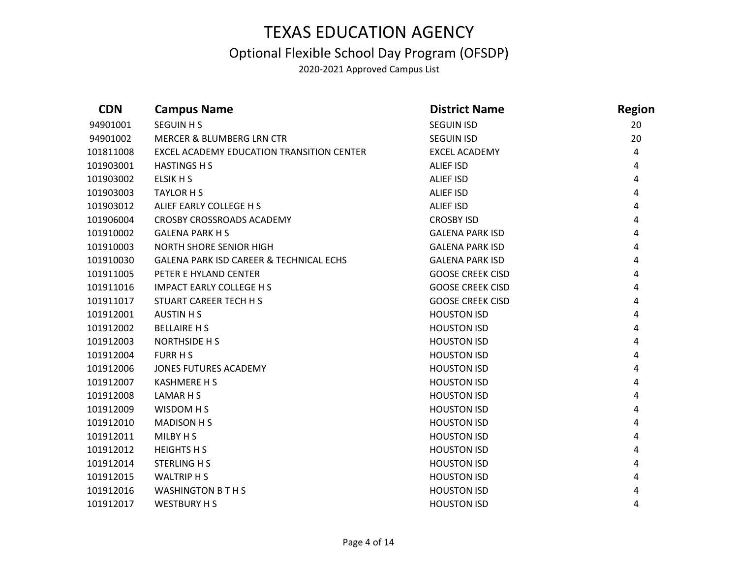### Optional Flexible School Day Program (OFSDP)

| <b>CDN</b> | <b>Campus Name</b>                        | <b>District Name</b>    | <b>Region</b> |
|------------|-------------------------------------------|-------------------------|---------------|
| 94901001   | <b>SEGUIN H S</b>                         | <b>SEGUIN ISD</b>       | 20            |
| 94901002   | <b>MERCER &amp; BLUMBERG LRN CTR</b>      | <b>SEGUIN ISD</b>       | 20            |
| 101811008  | EXCEL ACADEMY EDUCATION TRANSITION CENTER | <b>EXCEL ACADEMY</b>    | 4             |
| 101903001  | <b>HASTINGS H S</b>                       | ALIEF ISD               | 4             |
| 101903002  | ELSIK H S                                 | ALIEF ISD               | 4             |
| 101903003  | <b>TAYLOR H S</b>                         | ALIEF ISD               | 4             |
| 101903012  | ALIEF EARLY COLLEGE H S                   | ALIEF ISD               | 4             |
| 101906004  | <b>CROSBY CROSSROADS ACADEMY</b>          | <b>CROSBY ISD</b>       | 4             |
| 101910002  | <b>GALENA PARK H S</b>                    | <b>GALENA PARK ISD</b>  | 4             |
| 101910003  | <b>NORTH SHORE SENIOR HIGH</b>            | <b>GALENA PARK ISD</b>  | 4             |
| 101910030  | GALENA PARK ISD CAREER & TECHNICAL ECHS   | <b>GALENA PARK ISD</b>  | 4             |
| 101911005  | PETER E HYLAND CENTER                     | <b>GOOSE CREEK CISD</b> | 4             |
| 101911016  | <b>IMPACT EARLY COLLEGE H S</b>           | <b>GOOSE CREEK CISD</b> | 4             |
| 101911017  | STUART CAREER TECH H S                    | <b>GOOSE CREEK CISD</b> | 4             |
| 101912001  | <b>AUSTIN HS</b>                          | <b>HOUSTON ISD</b>      | 4             |
| 101912002  | <b>BELLAIRE H S</b>                       | <b>HOUSTON ISD</b>      | 4             |
| 101912003  | NORTHSIDE H S                             | <b>HOUSTON ISD</b>      | 4             |
| 101912004  | <b>FURR H S</b>                           | <b>HOUSTON ISD</b>      | 4             |
| 101912006  | JONES FUTURES ACADEMY                     | <b>HOUSTON ISD</b>      | 4             |
| 101912007  | <b>KASHMERE H S</b>                       | <b>HOUSTON ISD</b>      | 4             |
| 101912008  | LAMAR H S                                 | <b>HOUSTON ISD</b>      | 4             |
| 101912009  | WISDOM H S                                | <b>HOUSTON ISD</b>      | 4             |
| 101912010  | <b>MADISON H S</b>                        | <b>HOUSTON ISD</b>      | 4             |
| 101912011  | MILBY H S                                 | <b>HOUSTON ISD</b>      | 4             |
| 101912012  | <b>HEIGHTS H S</b>                        | <b>HOUSTON ISD</b>      | 4             |
| 101912014  | <b>STERLING H S</b>                       | <b>HOUSTON ISD</b>      | 4             |
| 101912015  | <b>WALTRIP H S</b>                        | <b>HOUSTON ISD</b>      | 4             |
| 101912016  | <b>WASHINGTON B T H S</b>                 | <b>HOUSTON ISD</b>      | 4             |
| 101912017  | <b>WESTBURY H S</b>                       | <b>HOUSTON ISD</b>      | 4             |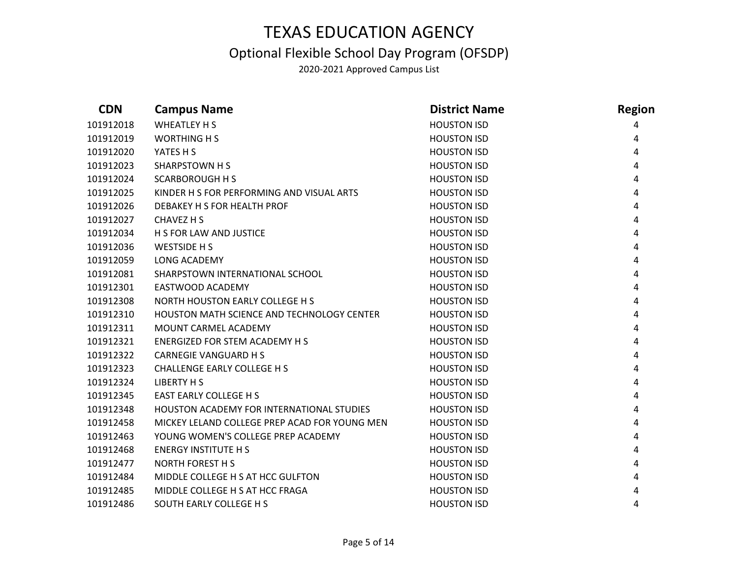### Optional Flexible School Day Program (OFSDP)

| <b>CDN</b> | <b>Campus Name</b>                               | <b>District Name</b> | <b>Region</b> |
|------------|--------------------------------------------------|----------------------|---------------|
| 101912018  | WHEATLEY H S                                     | <b>HOUSTON ISD</b>   | 4             |
| 101912019  | <b>WORTHING H S</b>                              | <b>HOUSTON ISD</b>   | 4             |
| 101912020  | YATES H S                                        | <b>HOUSTON ISD</b>   | 4             |
| 101912023  | SHARPSTOWN H S                                   | <b>HOUSTON ISD</b>   | 4             |
| 101912024  | <b>SCARBOROUGH H S</b>                           | <b>HOUSTON ISD</b>   | 4             |
| 101912025  | KINDER H S FOR PERFORMING AND VISUAL ARTS        | <b>HOUSTON ISD</b>   | 4             |
| 101912026  | DEBAKEY H S FOR HEALTH PROF                      | <b>HOUSTON ISD</b>   | 4             |
| 101912027  | CHAVEZ H S                                       | <b>HOUSTON ISD</b>   | 4             |
| 101912034  | H S FOR LAW AND JUSTICE                          | <b>HOUSTON ISD</b>   | 4             |
| 101912036  | WESTSIDE H S                                     | <b>HOUSTON ISD</b>   | 4             |
| 101912059  | LONG ACADEMY                                     | <b>HOUSTON ISD</b>   | 4             |
| 101912081  | SHARPSTOWN INTERNATIONAL SCHOOL                  | <b>HOUSTON ISD</b>   | 4             |
| 101912301  | EASTWOOD ACADEMY                                 | <b>HOUSTON ISD</b>   | 4             |
| 101912308  | NORTH HOUSTON EARLY COLLEGE H S                  | <b>HOUSTON ISD</b>   | 4             |
| 101912310  | HOUSTON MATH SCIENCE AND TECHNOLOGY CENTER       | <b>HOUSTON ISD</b>   | 4             |
| 101912311  | MOUNT CARMEL ACADEMY                             | <b>HOUSTON ISD</b>   | 4             |
| 101912321  | ENERGIZED FOR STEM ACADEMY H S                   | <b>HOUSTON ISD</b>   | 4             |
| 101912322  | <b>CARNEGIE VANGUARD H S</b>                     | <b>HOUSTON ISD</b>   | 4             |
| 101912323  | CHALLENGE EARLY COLLEGE H S                      | <b>HOUSTON ISD</b>   | 4             |
| 101912324  | <b>LIBERTY H S</b>                               | <b>HOUSTON ISD</b>   | 4             |
| 101912345  | <b>EAST EARLY COLLEGE H S</b>                    | <b>HOUSTON ISD</b>   | 4             |
| 101912348  | <b>HOUSTON ACADEMY FOR INTERNATIONAL STUDIES</b> | <b>HOUSTON ISD</b>   | 4             |
| 101912458  | MICKEY LELAND COLLEGE PREP ACAD FOR YOUNG MEN    | <b>HOUSTON ISD</b>   | 4             |
| 101912463  | YOUNG WOMEN'S COLLEGE PREP ACADEMY               | <b>HOUSTON ISD</b>   | 4             |
| 101912468  | <b>ENERGY INSTITUTE H S</b>                      | <b>HOUSTON ISD</b>   | 4             |
| 101912477  | <b>NORTH FOREST H S</b>                          | <b>HOUSTON ISD</b>   | 4             |
| 101912484  | MIDDLE COLLEGE H S AT HCC GULFTON                | <b>HOUSTON ISD</b>   | 4             |
| 101912485  | MIDDLE COLLEGE H S AT HCC FRAGA                  | <b>HOUSTON ISD</b>   | 4             |
| 101912486  | SOUTH EARLY COLLEGE H S                          | <b>HOUSTON ISD</b>   | 4             |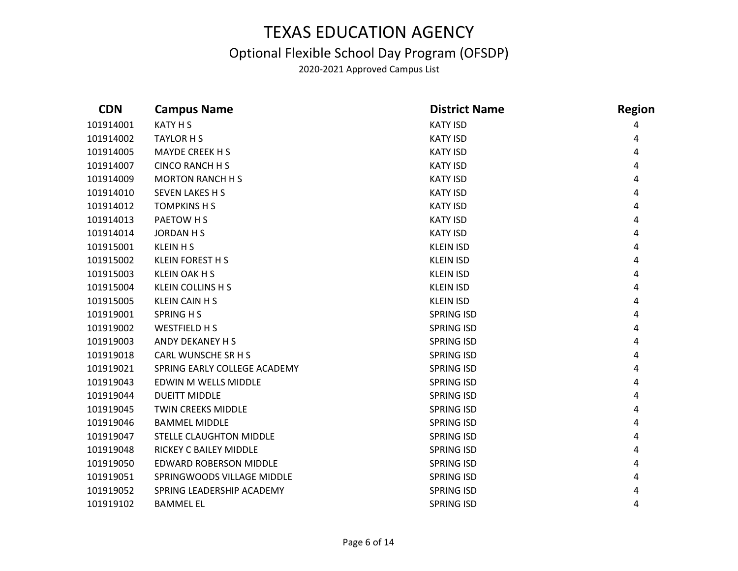### Optional Flexible School Day Program (OFSDP)

| <b>CDN</b> | <b>Campus Name</b>             | <b>District Name</b> | <b>Region</b> |
|------------|--------------------------------|----------------------|---------------|
| 101914001  | <b>KATY H S</b>                | <b>KATY ISD</b>      | 4             |
| 101914002  | <b>TAYLOR H S</b>              | <b>KATY ISD</b>      | 4             |
| 101914005  | <b>MAYDE CREEK H S</b>         | <b>KATY ISD</b>      | 4             |
| 101914007  | <b>CINCO RANCH H S</b>         | <b>KATY ISD</b>      | 4             |
| 101914009  | <b>MORTON RANCH H S</b>        | <b>KATY ISD</b>      | 4             |
| 101914010  | <b>SEVEN LAKES H S</b>         | <b>KATY ISD</b>      | 4             |
| 101914012  | <b>TOMPKINS H S</b>            | <b>KATY ISD</b>      | 4             |
| 101914013  | PAETOW H S                     | <b>KATY ISD</b>      | 4             |
| 101914014  | <b>JORDAN H S</b>              | <b>KATY ISD</b>      | 4             |
| 101915001  | <b>KLEIN H S</b>               | <b>KLEIN ISD</b>     | 4             |
| 101915002  | <b>KLEIN FOREST H S</b>        | <b>KLEIN ISD</b>     | 4             |
| 101915003  | <b>KLEIN OAK H S</b>           | <b>KLEIN ISD</b>     | 4             |
| 101915004  | <b>KLEIN COLLINS H S</b>       | <b>KLEIN ISD</b>     | 4             |
| 101915005  | <b>KLEIN CAIN H S</b>          | <b>KLEIN ISD</b>     | 4             |
| 101919001  | <b>SPRING HS</b>               | <b>SPRING ISD</b>    | 4             |
| 101919002  | <b>WESTFIELD HS</b>            | <b>SPRING ISD</b>    | 4             |
| 101919003  | ANDY DEKANEY H S               | <b>SPRING ISD</b>    | 4             |
| 101919018  | CARL WUNSCHE SR H S            | <b>SPRING ISD</b>    | 4             |
| 101919021  | SPRING EARLY COLLEGE ACADEMY   | <b>SPRING ISD</b>    | 4             |
| 101919043  | EDWIN M WELLS MIDDLE           | <b>SPRING ISD</b>    | 4             |
| 101919044  | <b>DUEITT MIDDLE</b>           | <b>SPRING ISD</b>    | 4             |
| 101919045  | <b>TWIN CREEKS MIDDLE</b>      | <b>SPRING ISD</b>    | 4             |
| 101919046  | <b>BAMMEL MIDDLE</b>           | <b>SPRING ISD</b>    | 4             |
| 101919047  | <b>STELLE CLAUGHTON MIDDLE</b> | <b>SPRING ISD</b>    | 4             |
| 101919048  | RICKEY C BAILEY MIDDLE         | <b>SPRING ISD</b>    | 4             |
| 101919050  | <b>EDWARD ROBERSON MIDDLE</b>  | <b>SPRING ISD</b>    | 4             |
| 101919051  | SPRINGWOODS VILLAGE MIDDLE     | <b>SPRING ISD</b>    |               |
| 101919052  | SPRING LEADERSHIP ACADEMY      | <b>SPRING ISD</b>    |               |
| 101919102  | <b>BAMMEL EL</b>               | <b>SPRING ISD</b>    | 4             |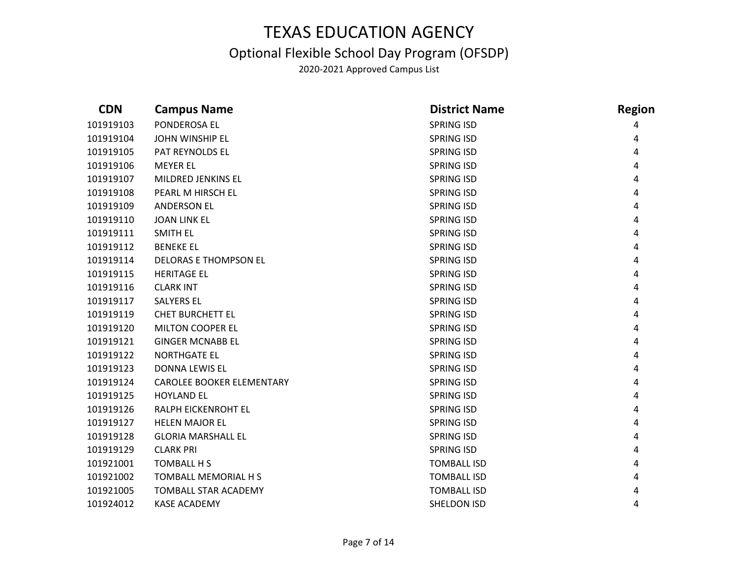### Optional Flexible School Day Program (OFSDP)

| <b>CDN</b> | <b>Campus Name</b>               | <b>District Name</b> | <b>Region</b> |
|------------|----------------------------------|----------------------|---------------|
| 101919103  | PONDEROSA EL                     | <b>SPRING ISD</b>    |               |
| 101919104  | <b>JOHN WINSHIP EL</b>           | <b>SPRING ISD</b>    | 4             |
| 101919105  | PAT REYNOLDS EL                  | <b>SPRING ISD</b>    | 4             |
| 101919106  | <b>MEYER EL</b>                  | <b>SPRING ISD</b>    | 4             |
| 101919107  | MILDRED JENKINS EL               | <b>SPRING ISD</b>    | 4             |
| 101919108  | PEARL M HIRSCH EL                | <b>SPRING ISD</b>    | 4             |
| 101919109  | <b>ANDERSON EL</b>               | <b>SPRING ISD</b>    | 4             |
| 101919110  | <b>JOAN LINK EL</b>              | <b>SPRING ISD</b>    | 4             |
| 101919111  | <b>SMITH EL</b>                  | <b>SPRING ISD</b>    | 4             |
| 101919112  | <b>BENEKE EL</b>                 | <b>SPRING ISD</b>    | 4             |
| 101919114  | <b>DELORAS E THOMPSON EL</b>     | <b>SPRING ISD</b>    | 4             |
| 101919115  | <b>HERITAGE EL</b>               | <b>SPRING ISD</b>    | 4             |
| 101919116  | <b>CLARK INT</b>                 | <b>SPRING ISD</b>    | 4             |
| 101919117  | <b>SALYERS EL</b>                | <b>SPRING ISD</b>    | 4             |
| 101919119  | <b>CHET BURCHETT EL</b>          | <b>SPRING ISD</b>    | 4             |
| 101919120  | <b>MILTON COOPER EL</b>          | <b>SPRING ISD</b>    | 4             |
| 101919121  | <b>GINGER MCNABB EL</b>          | <b>SPRING ISD</b>    | 4             |
| 101919122  | <b>NORTHGATE EL</b>              | <b>SPRING ISD</b>    | 4             |
| 101919123  | <b>DONNA LEWIS EL</b>            | <b>SPRING ISD</b>    | 4             |
| 101919124  | <b>CAROLEE BOOKER ELEMENTARY</b> | <b>SPRING ISD</b>    | 4             |
| 101919125  | <b>HOYLAND EL</b>                | <b>SPRING ISD</b>    | 4             |
| 101919126  | RALPH EICKENROHT EL              | <b>SPRING ISD</b>    | 4             |
| 101919127  | <b>HELEN MAJOR EL</b>            | <b>SPRING ISD</b>    | 4             |
| 101919128  | <b>GLORIA MARSHALL EL</b>        | <b>SPRING ISD</b>    | 4             |
| 101919129  | <b>CLARK PRI</b>                 | <b>SPRING ISD</b>    | 4             |
| 101921001  | <b>TOMBALL H S</b>               | <b>TOMBALL ISD</b>   | 4             |
| 101921002  | <b>TOMBALL MEMORIAL H S</b>      | <b>TOMBALL ISD</b>   | 4             |
| 101921005  | <b>TOMBALL STAR ACADEMY</b>      | <b>TOMBALL ISD</b>   | 4             |
| 101924012  | <b>KASE ACADEMY</b>              | <b>SHELDON ISD</b>   | 4             |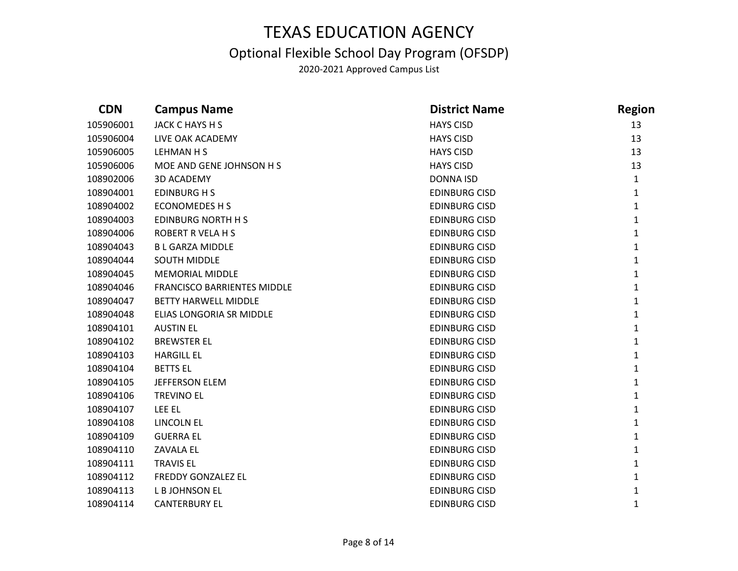### Optional Flexible School Day Program (OFSDP)

| <b>CDN</b> | <b>Campus Name</b>                 | <b>District Name</b> | <b>Region</b> |
|------------|------------------------------------|----------------------|---------------|
| 105906001  | JACK C HAYS H S                    | <b>HAYS CISD</b>     | 13            |
| 105906004  | LIVE OAK ACADEMY                   | <b>HAYS CISD</b>     | 13            |
| 105906005  | LEHMAN H S                         | <b>HAYS CISD</b>     | 13            |
| 105906006  | MOE AND GENE JOHNSON H S           | <b>HAYS CISD</b>     | 13            |
| 108902006  | <b>3D ACADEMY</b>                  | <b>DONNA ISD</b>     | $\mathbf{1}$  |
| 108904001  | <b>EDINBURG H S</b>                | <b>EDINBURG CISD</b> | $\mathbf{1}$  |
| 108904002  | <b>ECONOMEDES H S</b>              | <b>EDINBURG CISD</b> | $\mathbf{1}$  |
| 108904003  | <b>EDINBURG NORTH H S</b>          | <b>EDINBURG CISD</b> | $\mathbf{1}$  |
| 108904006  | <b>ROBERT R VELA H S</b>           | <b>EDINBURG CISD</b> | $\mathbf{1}$  |
| 108904043  | <b>B L GARZA MIDDLE</b>            | <b>EDINBURG CISD</b> | $\mathbf{1}$  |
| 108904044  | <b>SOUTH MIDDLE</b>                | <b>EDINBURG CISD</b> | $\mathbf{1}$  |
| 108904045  | <b>MEMORIAL MIDDLE</b>             | <b>EDINBURG CISD</b> | $\mathbf{1}$  |
| 108904046  | <b>FRANCISCO BARRIENTES MIDDLE</b> | <b>EDINBURG CISD</b> | $\mathbf{1}$  |
| 108904047  | <b>BETTY HARWELL MIDDLE</b>        | <b>EDINBURG CISD</b> | $\mathbf{1}$  |
| 108904048  | ELIAS LONGORIA SR MIDDLE           | <b>EDINBURG CISD</b> | $\mathbf{1}$  |
| 108904101  | <b>AUSTIN EL</b>                   | <b>EDINBURG CISD</b> | $\mathbf{1}$  |
| 108904102  | <b>BREWSTER EL</b>                 | <b>EDINBURG CISD</b> | 1             |
| 108904103  | <b>HARGILL EL</b>                  | <b>EDINBURG CISD</b> | $\mathbf{1}$  |
| 108904104  | <b>BETTS EL</b>                    | <b>EDINBURG CISD</b> | $\mathbf{1}$  |
| 108904105  | <b>JEFFERSON ELEM</b>              | <b>EDINBURG CISD</b> | $\mathbf{1}$  |
| 108904106  | <b>TREVINO EL</b>                  | <b>EDINBURG CISD</b> | $\mathbf{1}$  |
| 108904107  | LEE EL                             | <b>EDINBURG CISD</b> | $\mathbf{1}$  |
| 108904108  | <b>LINCOLN EL</b>                  | <b>EDINBURG CISD</b> | $\mathbf{1}$  |
| 108904109  | <b>GUERRA EL</b>                   | <b>EDINBURG CISD</b> | $\mathbf{1}$  |
| 108904110  | <b>ZAVALA EL</b>                   | <b>EDINBURG CISD</b> | $\mathbf{1}$  |
| 108904111  | <b>TRAVIS EL</b>                   | <b>EDINBURG CISD</b> | $\mathbf{1}$  |
| 108904112  | <b>FREDDY GONZALEZ EL</b>          | <b>EDINBURG CISD</b> | $\mathbf{1}$  |
| 108904113  | L B JOHNSON EL                     | <b>EDINBURG CISD</b> | 1             |
| 108904114  | <b>CANTERBURY EL</b>               | <b>EDINBURG CISD</b> | $\mathbf{1}$  |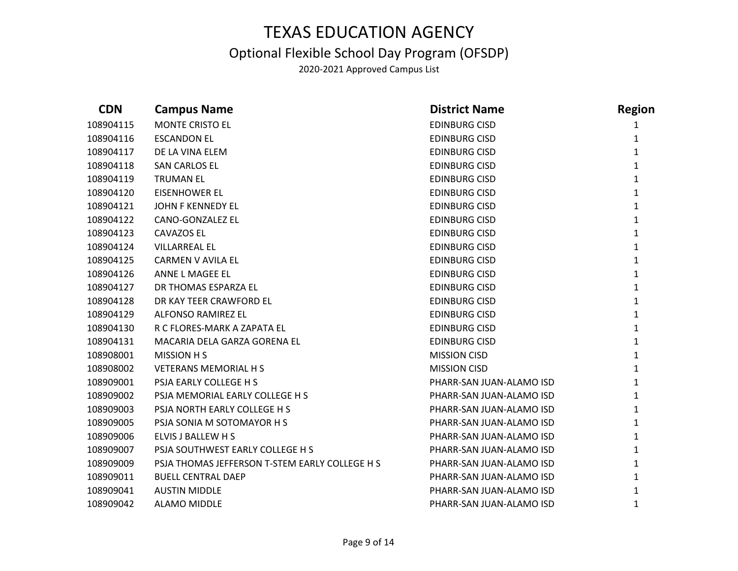### Optional Flexible School Day Program (OFSDP)

| <b>CDN</b> | <b>Campus Name</b>                             | <b>District Name</b>     | <b>Region</b> |
|------------|------------------------------------------------|--------------------------|---------------|
| 108904115  | <b>MONTE CRISTO EL</b>                         | <b>EDINBURG CISD</b>     |               |
| 108904116  | <b>ESCANDON EL</b>                             | <b>EDINBURG CISD</b>     | 1             |
| 108904117  | DE LA VINA ELEM                                | <b>EDINBURG CISD</b>     | $\mathbf{1}$  |
| 108904118  | SAN CARLOS EL                                  | <b>EDINBURG CISD</b>     | $\mathbf{1}$  |
| 108904119  | <b>TRUMAN EL</b>                               | <b>EDINBURG CISD</b>     | $\mathbf{1}$  |
| 108904120  | <b>EISENHOWER EL</b>                           | <b>EDINBURG CISD</b>     | $\mathbf{1}$  |
| 108904121  | JOHN F KENNEDY EL                              | <b>EDINBURG CISD</b>     | $\mathbf{1}$  |
| 108904122  | CANO-GONZALEZ EL                               | <b>EDINBURG CISD</b>     | $\mathbf{1}$  |
| 108904123  | <b>CAVAZOS EL</b>                              | <b>EDINBURG CISD</b>     | $\mathbf{1}$  |
| 108904124  | <b>VILLARREAL EL</b>                           | <b>EDINBURG CISD</b>     | $\mathbf{1}$  |
| 108904125  | CARMEN V AVILA EL                              | <b>EDINBURG CISD</b>     | $\mathbf{1}$  |
| 108904126  | ANNE L MAGEE EL                                | <b>EDINBURG CISD</b>     | $\mathbf{1}$  |
| 108904127  | DR THOMAS ESPARZA EL                           | <b>EDINBURG CISD</b>     | $\mathbf{1}$  |
| 108904128  | DR KAY TEER CRAWFORD EL                        | <b>EDINBURG CISD</b>     | $\mathbf{1}$  |
| 108904129  | ALFONSO RAMIREZ EL                             | <b>EDINBURG CISD</b>     | $\mathbf{1}$  |
| 108904130  | R C FLORES-MARK A ZAPATA EL                    | <b>EDINBURG CISD</b>     | $\mathbf{1}$  |
| 108904131  | MACARIA DELA GARZA GORENA EL                   | <b>EDINBURG CISD</b>     | $\mathbf{1}$  |
| 108908001  | <b>MISSION H S</b>                             | <b>MISSION CISD</b>      | $\mathbf{1}$  |
| 108908002  | <b>VETERANS MEMORIAL H S</b>                   | <b>MISSION CISD</b>      | $\mathbf{1}$  |
| 108909001  | PSJA EARLY COLLEGE H S                         | PHARR-SAN JUAN-ALAMO ISD | $\mathbf{1}$  |
| 108909002  | PSJA MEMORIAL EARLY COLLEGE H S                | PHARR-SAN JUAN-ALAMO ISD | $\mathbf{1}$  |
| 108909003  | PSJA NORTH EARLY COLLEGE H S                   | PHARR-SAN JUAN-ALAMO ISD | $\mathbf{1}$  |
| 108909005  | PSJA SONIA M SOTOMAYOR H S                     | PHARR-SAN JUAN-ALAMO ISD | $\mathbf{1}$  |
| 108909006  | ELVIS J BALLEW H S                             | PHARR-SAN JUAN-ALAMO ISD | $\mathbf{1}$  |
| 108909007  | PSJA SOUTHWEST EARLY COLLEGE H S               | PHARR-SAN JUAN-ALAMO ISD | $\mathbf{1}$  |
| 108909009  | PSJA THOMAS JEFFERSON T-STEM EARLY COLLEGE H S | PHARR-SAN JUAN-ALAMO ISD | $\mathbf{1}$  |
| 108909011  | <b>BUELL CENTRAL DAEP</b>                      | PHARR-SAN JUAN-ALAMO ISD | $\mathbf{1}$  |
| 108909041  | <b>AUSTIN MIDDLE</b>                           | PHARR-SAN JUAN-ALAMO ISD | 1             |
| 108909042  | <b>ALAMO MIDDLE</b>                            | PHARR-SAN JUAN-ALAMO ISD | 1             |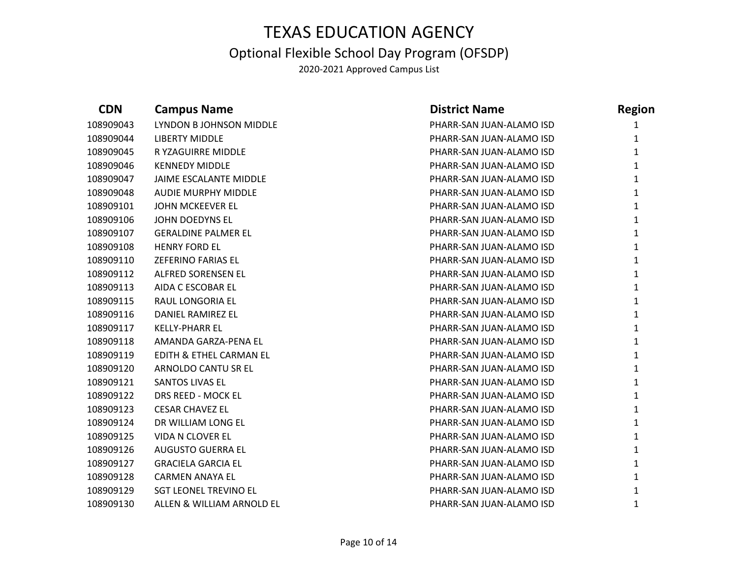## TEXAS EDUCATION AGENCY Optional Flexible School Day Program (OFSDP)

| <b>CDN</b> | <b>Campus Name</b>           | <b>District Name</b>     | <b>Region</b> |
|------------|------------------------------|--------------------------|---------------|
| 108909043  | LYNDON B JOHNSON MIDDLE      | PHARR-SAN JUAN-ALAMO ISD | 1             |
| 108909044  | <b>LIBERTY MIDDLE</b>        | PHARR-SAN JUAN-ALAMO ISD | $\mathbf{1}$  |
| 108909045  | R YZAGUIRRE MIDDLE           | PHARR-SAN JUAN-ALAMO ISD | $\mathbf{1}$  |
| 108909046  | <b>KENNEDY MIDDLE</b>        | PHARR-SAN JUAN-ALAMO ISD | $\mathbf{1}$  |
| 108909047  | JAIME ESCALANTE MIDDLE       | PHARR-SAN JUAN-ALAMO ISD | $\mathbf{1}$  |
| 108909048  | <b>AUDIE MURPHY MIDDLE</b>   | PHARR-SAN JUAN-ALAMO ISD | $\mathbf{1}$  |
| 108909101  | JOHN MCKEEVER EL             | PHARR-SAN JUAN-ALAMO ISD | $\mathbf{1}$  |
| 108909106  | JOHN DOEDYNS EL              | PHARR-SAN JUAN-ALAMO ISD | $\mathbf{1}$  |
| 108909107  | <b>GERALDINE PALMER EL</b>   | PHARR-SAN JUAN-ALAMO ISD | $\mathbf{1}$  |
| 108909108  | <b>HENRY FORD EL</b>         | PHARR-SAN JUAN-ALAMO ISD | $\mathbf{1}$  |
| 108909110  | <b>ZEFERINO FARIAS EL</b>    | PHARR-SAN JUAN-ALAMO ISD | $\mathbf{1}$  |
| 108909112  | ALFRED SORENSEN EL           | PHARR-SAN JUAN-ALAMO ISD | $\mathbf{1}$  |
| 108909113  | AIDA C ESCOBAR EL            | PHARR-SAN JUAN-ALAMO ISD | $\mathbf{1}$  |
| 108909115  | RAUL LONGORIA EL             | PHARR-SAN JUAN-ALAMO ISD | $\mathbf{1}$  |
| 108909116  | DANIEL RAMIREZ EL            | PHARR-SAN JUAN-ALAMO ISD | $\mathbf{1}$  |
| 108909117  | <b>KELLY-PHARR EL</b>        | PHARR-SAN JUAN-ALAMO ISD | $\mathbf{1}$  |
| 108909118  | AMANDA GARZA-PENA EL         | PHARR-SAN JUAN-ALAMO ISD | $\mathbf{1}$  |
| 108909119  | EDITH & ETHEL CARMAN EL      | PHARR-SAN JUAN-ALAMO ISD | $\mathbf{1}$  |
| 108909120  | ARNOLDO CANTU SR EL          | PHARR-SAN JUAN-ALAMO ISD | $\mathbf{1}$  |
| 108909121  | <b>SANTOS LIVAS EL</b>       | PHARR-SAN JUAN-ALAMO ISD | $\mathbf{1}$  |
| 108909122  | DRS REED - MOCK EL           | PHARR-SAN JUAN-ALAMO ISD | $\mathbf{1}$  |
| 108909123  | <b>CESAR CHAVEZ EL</b>       | PHARR-SAN JUAN-ALAMO ISD | $\mathbf{1}$  |
| 108909124  | DR WILLIAM LONG EL           | PHARR-SAN JUAN-ALAMO ISD | $\mathbf{1}$  |
| 108909125  | <b>VIDA N CLOVER EL</b>      | PHARR-SAN JUAN-ALAMO ISD | $\mathbf{1}$  |
| 108909126  | <b>AUGUSTO GUERRA EL</b>     | PHARR-SAN JUAN-ALAMO ISD | $\mathbf{1}$  |
| 108909127  | <b>GRACIELA GARCIA EL</b>    | PHARR-SAN JUAN-ALAMO ISD | $\mathbf{1}$  |
| 108909128  | <b>CARMEN ANAYA EL</b>       | PHARR-SAN JUAN-ALAMO ISD | $\mathbf{1}$  |
| 108909129  | <b>SGT LEONEL TREVINO EL</b> | PHARR-SAN JUAN-ALAMO ISD | 1             |
| 108909130  | ALLEN & WILLIAM ARNOLD EL    | PHARR-SAN JUAN-ALAMO ISD | $\mathbf{1}$  |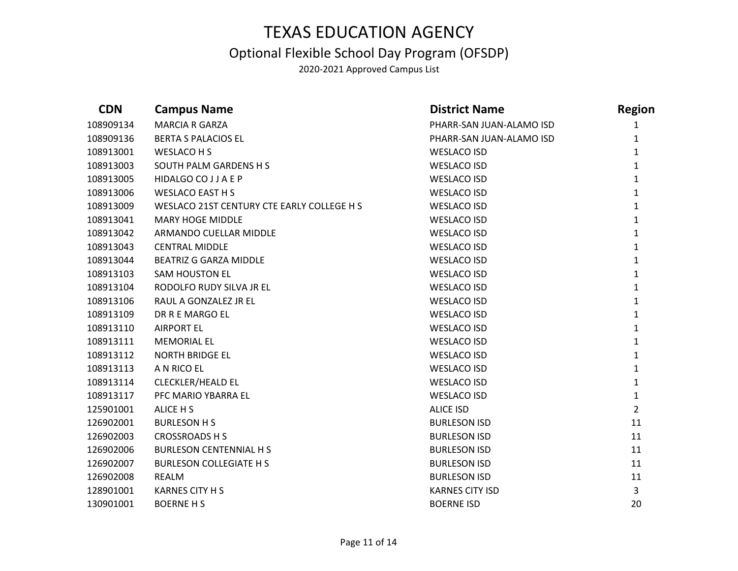### Optional Flexible School Day Program (OFSDP)

| <b>CDN</b> | <b>Campus Name</b>                         | <b>District Name</b>     | <b>Region</b>  |
|------------|--------------------------------------------|--------------------------|----------------|
| 108909134  | <b>MARCIA R GARZA</b>                      | PHARR-SAN JUAN-ALAMO ISD | 1              |
| 108909136  | <b>BERTA S PALACIOS EL</b>                 | PHARR-SAN JUAN-ALAMO ISD | $\mathbf{1}$   |
| 108913001  | WESLACO H S                                | <b>WESLACO ISD</b>       | $\mathbf{1}$   |
| 108913003  | SOUTH PALM GARDENS H S                     | <b>WESLACO ISD</b>       | $\mathbf{1}$   |
| 108913005  | HIDALGO CO J J A E P                       | <b>WESLACO ISD</b>       | $\mathbf{1}$   |
| 108913006  | <b>WESLACO EAST H S</b>                    | <b>WESLACO ISD</b>       | $\mathbf{1}$   |
| 108913009  | WESLACO 21ST CENTURY CTE EARLY COLLEGE H S | <b>WESLACO ISD</b>       | $\mathbf{1}$   |
| 108913041  | <b>MARY HOGE MIDDLE</b>                    | <b>WESLACO ISD</b>       | $\mathbf{1}$   |
| 108913042  | ARMANDO CUELLAR MIDDLE                     | <b>WESLACO ISD</b>       | $\mathbf{1}$   |
| 108913043  | <b>CENTRAL MIDDLE</b>                      | <b>WESLACO ISD</b>       | $\mathbf{1}$   |
| 108913044  | <b>BEATRIZ G GARZA MIDDLE</b>              | <b>WESLACO ISD</b>       | $\mathbf{1}$   |
| 108913103  | <b>SAM HOUSTON EL</b>                      | <b>WESLACO ISD</b>       | $\mathbf{1}$   |
| 108913104  | RODOLFO RUDY SILVA JR EL                   | <b>WESLACO ISD</b>       | $\mathbf{1}$   |
| 108913106  | RAUL A GONZALEZ JR EL                      | <b>WESLACO ISD</b>       | $\mathbf{1}$   |
| 108913109  | DR R E MARGO EL                            | <b>WESLACO ISD</b>       | $\mathbf{1}$   |
| 108913110  | <b>AIRPORT EL</b>                          | <b>WESLACO ISD</b>       | $\mathbf{1}$   |
| 108913111  | <b>MEMORIAL EL</b>                         | <b>WESLACO ISD</b>       | $\mathbf{1}$   |
| 108913112  | <b>NORTH BRIDGE EL</b>                     | <b>WESLACO ISD</b>       | $\mathbf{1}$   |
| 108913113  | A N RICO EL                                | <b>WESLACO ISD</b>       | $\mathbf{1}$   |
| 108913114  | <b>CLECKLER/HEALD EL</b>                   | <b>WESLACO ISD</b>       | $\mathbf{1}$   |
| 108913117  | PFC MARIO YBARRA EL                        | <b>WESLACO ISD</b>       | $\mathbf{1}$   |
| 125901001  | ALICE H S                                  | <b>ALICE ISD</b>         | $\overline{2}$ |
| 126902001  | <b>BURLESON H S</b>                        | <b>BURLESON ISD</b>      | 11             |
| 126902003  | <b>CROSSROADS H S</b>                      | <b>BURLESON ISD</b>      | 11             |
| 126902006  | <b>BURLESON CENTENNIAL H S</b>             | <b>BURLESON ISD</b>      | 11             |
| 126902007  | <b>BURLESON COLLEGIATE H S</b>             | <b>BURLESON ISD</b>      | 11             |
| 126902008  | <b>REALM</b>                               | <b>BURLESON ISD</b>      | 11             |
| 128901001  | <b>KARNES CITY H S</b>                     | <b>KARNES CITY ISD</b>   | 3              |
| 130901001  | <b>BOERNE H S</b>                          | <b>BOERNE ISD</b>        | 20             |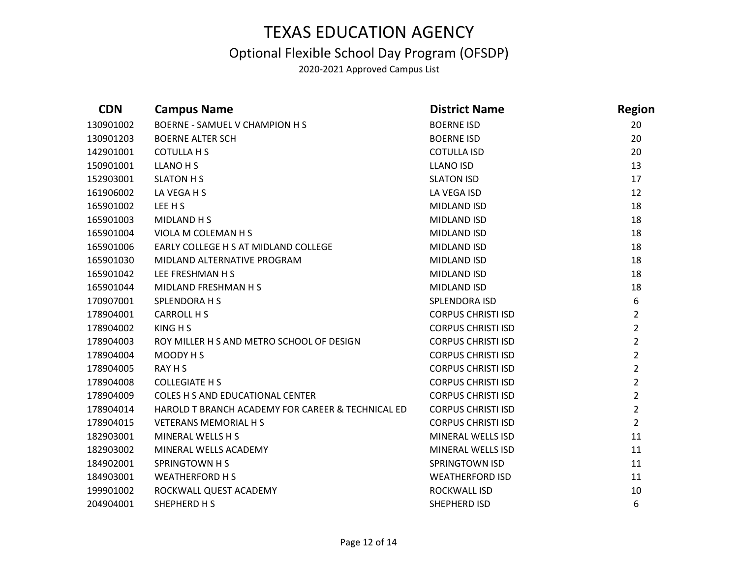### Optional Flexible School Day Program (OFSDP)

| <b>CDN</b> | <b>Campus Name</b>                                | <b>District Name</b>      | <b>Region</b>  |
|------------|---------------------------------------------------|---------------------------|----------------|
| 130901002  | <b>BOERNE - SAMUEL V CHAMPION H S</b>             | <b>BOERNE ISD</b>         | 20             |
| 130901203  | <b>BOERNE ALTER SCH</b>                           | <b>BOERNE ISD</b>         | 20             |
| 142901001  | <b>COTULLA H S</b>                                | <b>COTULLA ISD</b>        | 20             |
| 150901001  | <b>LLANO H S</b>                                  | <b>LLANO ISD</b>          | 13             |
| 152903001  | <b>SLATON H S</b>                                 | <b>SLATON ISD</b>         | 17             |
| 161906002  | LA VEGA H S                                       | LA VEGA ISD               | 12             |
| 165901002  | LEE H S                                           | MIDLAND ISD               | 18             |
| 165901003  | MIDLAND H S                                       | MIDLAND ISD               | 18             |
| 165901004  | VIOLA M COLEMAN H S                               | MIDLAND ISD               | 18             |
| 165901006  | EARLY COLLEGE H S AT MIDLAND COLLEGE              | MIDLAND ISD               | 18             |
| 165901030  | MIDLAND ALTERNATIVE PROGRAM                       | MIDLAND ISD               | 18             |
| 165901042  | LEE FRESHMAN H S                                  | MIDLAND ISD               | 18             |
| 165901044  | MIDLAND FRESHMAN H S                              | MIDLAND ISD               | 18             |
| 170907001  | <b>SPLENDORA H S</b>                              | SPLENDORA ISD             | 6              |
| 178904001  | CARROLL H S                                       | <b>CORPUS CHRISTI ISD</b> | $\overline{2}$ |
| 178904002  | KING H S                                          | <b>CORPUS CHRISTI ISD</b> | $\overline{2}$ |
| 178904003  | ROY MILLER H S AND METRO SCHOOL OF DESIGN         | <b>CORPUS CHRISTI ISD</b> | $\overline{2}$ |
| 178904004  | MOODY H S                                         | <b>CORPUS CHRISTI ISD</b> | $\overline{2}$ |
| 178904005  | RAY H S                                           | <b>CORPUS CHRISTI ISD</b> | $\overline{2}$ |
| 178904008  | <b>COLLEGIATE H S</b>                             | <b>CORPUS CHRISTI ISD</b> | $\overline{2}$ |
| 178904009  | COLES H S AND EDUCATIONAL CENTER                  | <b>CORPUS CHRISTI ISD</b> | $\overline{2}$ |
| 178904014  | HAROLD T BRANCH ACADEMY FOR CAREER & TECHNICAL ED | <b>CORPUS CHRISTI ISD</b> | $\overline{2}$ |
| 178904015  | <b>VETERANS MEMORIAL H S</b>                      | <b>CORPUS CHRISTI ISD</b> | $\overline{2}$ |
| 182903001  | MINERAL WELLS H S                                 | MINERAL WELLS ISD         | 11             |
| 182903002  | MINERAL WELLS ACADEMY                             | MINERAL WELLS ISD         | 11             |
| 184902001  | <b>SPRINGTOWN H S</b>                             | <b>SPRINGTOWN ISD</b>     | 11             |
| 184903001  | <b>WEATHERFORD H S</b>                            | <b>WEATHERFORD ISD</b>    | 11             |
| 199901002  | ROCKWALL QUEST ACADEMY                            | ROCKWALL ISD              | 10             |
| 204904001  | SHEPHERD H S                                      | SHEPHERD ISD              | 6              |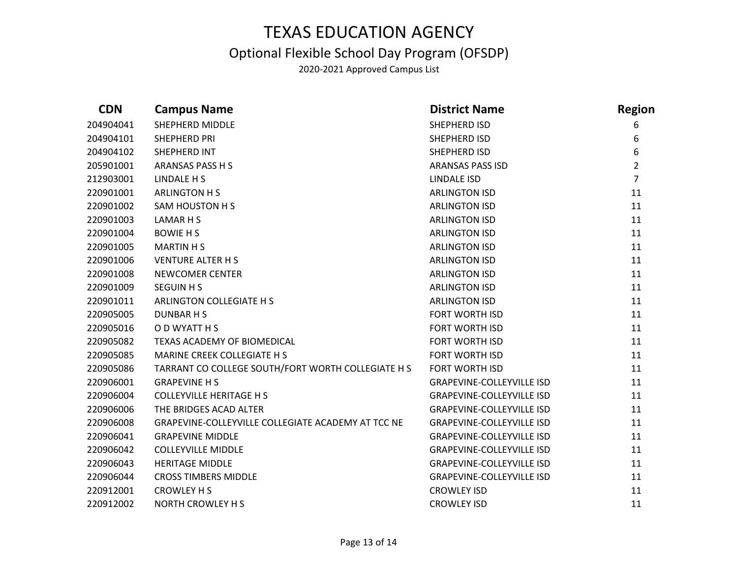### Optional Flexible School Day Program (OFSDP)

| <b>CDN</b> | <b>Campus Name</b>                                 | <b>District Name</b>             | <b>Region</b>  |
|------------|----------------------------------------------------|----------------------------------|----------------|
| 204904041  | <b>SHEPHERD MIDDLE</b>                             | SHEPHERD ISD                     | 6              |
| 204904101  | <b>SHEPHERD PRI</b>                                | SHEPHERD ISD                     | 6              |
| 204904102  | SHEPHERD INT                                       | SHEPHERD ISD                     | 6              |
| 205901001  | <b>ARANSAS PASS H S</b>                            | <b>ARANSAS PASS ISD</b>          | $\overline{2}$ |
| 212903001  | <b>LINDALE H S</b>                                 | LINDALE ISD                      | $\overline{7}$ |
| 220901001  | <b>ARLINGTON HS</b>                                | <b>ARLINGTON ISD</b>             | 11             |
| 220901002  | SAM HOUSTON H S                                    | <b>ARLINGTON ISD</b>             | 11             |
| 220901003  | LAMAR H S                                          | <b>ARLINGTON ISD</b>             | 11             |
| 220901004  | <b>BOWIE H S</b>                                   | <b>ARLINGTON ISD</b>             | 11             |
| 220901005  | <b>MARTIN H S</b>                                  | <b>ARLINGTON ISD</b>             | 11             |
| 220901006  | <b>VENTURE ALTER H S</b>                           | <b>ARLINGTON ISD</b>             | 11             |
| 220901008  | <b>NEWCOMER CENTER</b>                             | <b>ARLINGTON ISD</b>             | 11             |
| 220901009  | <b>SEGUIN H S</b>                                  | <b>ARLINGTON ISD</b>             | 11             |
| 220901011  | ARLINGTON COLLEGIATE H S                           | <b>ARLINGTON ISD</b>             | 11             |
| 220905005  | DUNBAR H S                                         | <b>FORT WORTH ISD</b>            | 11             |
| 220905016  | O D WYATT H S                                      | FORT WORTH ISD                   | 11             |
| 220905082  | TEXAS ACADEMY OF BIOMEDICAL                        | <b>FORT WORTH ISD</b>            | 11             |
| 220905085  | MARINE CREEK COLLEGIATE H S                        | <b>FORT WORTH ISD</b>            | 11             |
| 220905086  | TARRANT CO COLLEGE SOUTH/FORT WORTH COLLEGIATE H S | <b>FORT WORTH ISD</b>            | 11             |
| 220906001  | <b>GRAPEVINE H S</b>                               | <b>GRAPEVINE-COLLEYVILLE ISD</b> | 11             |
| 220906004  | <b>COLLEYVILLE HERITAGE H S</b>                    | <b>GRAPEVINE-COLLEYVILLE ISD</b> | 11             |
| 220906006  | THE BRIDGES ACAD ALTER                             | <b>GRAPEVINE-COLLEYVILLE ISD</b> | 11             |
| 220906008  | GRAPEVINE-COLLEYVILLE COLLEGIATE ACADEMY AT TCC NE | <b>GRAPEVINE-COLLEYVILLE ISD</b> | 11             |
| 220906041  | <b>GRAPEVINE MIDDLE</b>                            | <b>GRAPEVINE-COLLEYVILLE ISD</b> | 11             |
| 220906042  | <b>COLLEYVILLE MIDDLE</b>                          | <b>GRAPEVINE-COLLEYVILLE ISD</b> | 11             |
| 220906043  | <b>HERITAGE MIDDLE</b>                             | <b>GRAPEVINE-COLLEYVILLE ISD</b> | 11             |
| 220906044  | <b>CROSS TIMBERS MIDDLE</b>                        | <b>GRAPEVINE-COLLEYVILLE ISD</b> | 11             |
| 220912001  | <b>CROWLEY H S</b>                                 | <b>CROWLEY ISD</b>               | 11             |
| 220912002  | <b>NORTH CROWLEY H S</b>                           | <b>CROWLEY ISD</b>               | 11             |